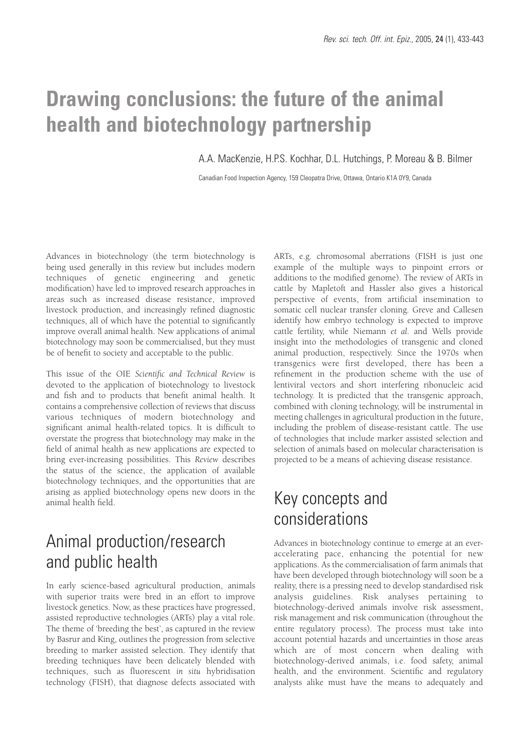# **Drawing conclusions: the future of the animal health and biotechnology partnership**

A.A. MacKenzie, H.P.S. Kochhar, D.L. Hutchings, P. Moreau & B. Bilmer

Canadian Food Inspection Agency, 159 Cleopatra Drive, Ottawa, Ontario K1A 0Y9, Canada

Advances in biotechnology (the term biotechnology is being used generally in this review but includes modern techniques of genetic engineering and genetic modification) have led to improved research approaches in areas such as increased disease resistance, improved livestock production, and increasingly refined diagnostic techniques, all of which have the potential to significantly improve overall animal health. New applications of animal biotechnology may soon be commercialised, but they must be of benefit to society and acceptable to the public.

This issue of the OIE *Scientific and Technical Review* is devoted to the application of biotechnology to livestock and fish and to products that benefit animal health. It contains a comprehensive collection of reviews that discuss various techniques of modern biotechnology and significant animal health-related topics. It is difficult to overstate the progress that biotechnology may make in the field of animal health as new applications are expected to bring ever-increasing possibilities. This *Review* describes the status of the science, the application of available biotechnology techniques, and the opportunities that are arising as applied biotechnology opens new doors in the animal health field.

# Animal production/research and public health

In early science-based agricultural production, animals with superior traits were bred in an effort to improve livestock genetics. Now, as these practices have progressed, assisted reproductive technologies (ARTs) play a vital role. The theme of 'breeding the best', as captured in the review by Basrur and King, outlines the progression from selective breeding to marker assisted selection. They identify that breeding techniques have been delicately blended with techniques, such as fluorescent *in situ* hybridisation technology (FISH), that diagnose defects associated with ARTs, e.g. chromosomal aberrations (FISH is just one example of the multiple ways to pinpoint errors or additions to the modified genome). The review of ARTs in cattle by Mapletoft and Hassler also gives a historical perspective of events, from artificial insemination to somatic cell nuclear transfer cloning. Greve and Callesen identify how embryo technology is expected to improve cattle fertility, while Niemann *et al.* and Wells provide insight into the methodologies of transgenic and cloned animal production, respectively. Since the 1970s when transgenics were first developed, there has been a refinement in the production scheme with the use of lentiviral vectors and short interfering ribonucleic acid technology. It is predicted that the transgenic approach, combined with cloning technology, will be instrumental in meeting challenges in agricultural production in the future, including the problem of disease-resistant cattle. The use of technologies that include marker assisted selection and selection of animals based on molecular characterisation is projected to be a means of achieving disease resistance.

# Key concepts and considerations

Advances in biotechnology continue to emerge at an everaccelerating pace, enhancing the potential for new applications. As the commercialisation of farm animals that have been developed through biotechnology will soon be a reality, there is a pressing need to develop standardised risk analysis guidelines. Risk analyses pertaining to biotechnology-derived animals involve risk assessment, risk management and risk communication (throughout the entire regulatory process). The process must take into account potential hazards and uncertainties in those areas which are of most concern when dealing with biotechnology-derived animals, i.e. food safety, animal health, and the environment. Scientific and regulatory analysts alike must have the means to adequately and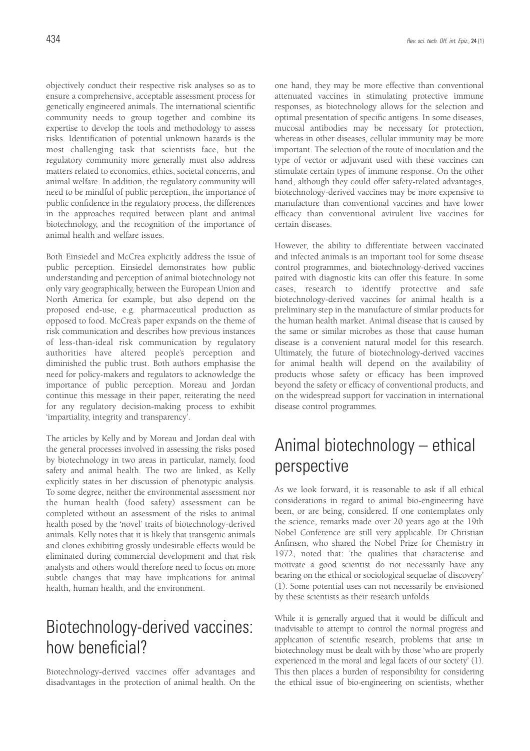objectively conduct their respective risk analyses so as to ensure a comprehensive, acceptable assessment process for genetically engineered animals. The international scientific community needs to group together and combine its expertise to develop the tools and methodology to assess risks. Identification of potential unknown hazards is the most challenging task that scientists face, but the regulatory community more generally must also address matters related to economics, ethics, societal concerns, and animal welfare. In addition, the regulatory community will need to be mindful of public perception, the importance of public confidence in the regulatory process, the differences in the approaches required between plant and animal biotechnology, and the recognition of the importance of animal health and welfare issues.

Both Einsiedel and McCrea explicitly address the issue of public perception. Einsiedel demonstrates how public understanding and perception of animal biotechnology not only vary geographically, between the European Union and North America for example, but also depend on the proposed end-use, e.g. pharmaceutical production as opposed to food. McCrea's paper expands on the theme of risk communication and describes how previous instances of less-than-ideal risk communication by regulatory authorities have altered people's perception and diminished the public trust. Both authors emphasise the need for policy-makers and regulators to acknowledge the importance of public perception. Moreau and Jordan continue this message in their paper, reiterating the need for any regulatory decision-making process to exhibit 'impartiality, integrity and transparency'.

The articles by Kelly and by Moreau and Jordan deal with the general processes involved in assessing the risks posed by biotechnology in two areas in particular, namely, food safety and animal health. The two are linked, as Kelly explicitly states in her discussion of phenotypic analysis. To some degree, neither the environmental assessment nor the human health (food safety) assessment can be completed without an assessment of the risks to animal health posed by the 'novel' traits of biotechnology-derived animals. Kelly notes that it is likely that transgenic animals and clones exhibiting grossly undesirable effects would be eliminated during commercial development and that risk analysts and others would therefore need to focus on more subtle changes that may have implications for animal health, human health, and the environment.

#### Biotechnology-derived vaccines: how beneficial?

Biotechnology-derived vaccines offer advantages and disadvantages in the protection of animal health. On the one hand, they may be more effective than conventional attenuated vaccines in stimulating protective immune responses, as biotechnology allows for the selection and optimal presentation of specific antigens. In some diseases, mucosal antibodies may be necessary for protection, whereas in other diseases, cellular immunity may be more important. The selection of the route of inoculation and the type of vector or adjuvant used with these vaccines can stimulate certain types of immune response. On the other hand, although they could offer safety-related advantages, biotechnology-derived vaccines may be more expensive to manufacture than conventional vaccines and have lower efficacy than conventional avirulent live vaccines for certain diseases.

However, the ability to differentiate between vaccinated and infected animals is an important tool for some disease control programmes, and biotechnology-derived vaccines paired with diagnostic kits can offer this feature. In some cases, research to identify protective and safe biotechnology-derived vaccines for animal health is a preliminary step in the manufacture of similar products for the human health market. Animal disease that is caused by the same or similar microbes as those that cause human disease is a convenient natural model for this research. Ultimately, the future of biotechnology-derived vaccines for animal health will depend on the availability of products whose safety or efficacy has been improved beyond the safety or efficacy of conventional products, and on the widespread support for vaccination in international disease control programmes.

# Animal biotechnology – ethical perspective

As we look forward, it is reasonable to ask if all ethical considerations in regard to animal bio-engineering have been, or are being, considered. If one contemplates only the science, remarks made over 20 years ago at the 19th Nobel Conference are still very applicable. Dr Christian Anfinsen, who shared the Nobel Prize for Chemistry in 1972, noted that: 'the qualities that characterise and motivate a good scientist do not necessarily have any bearing on the ethical or sociological sequelae of discovery' (1). Some potential uses can not necessarily be envisioned by these scientists as their research unfolds.

While it is generally argued that it would be difficult and inadvisable to attempt to control the normal progress and application of scientific research, problems that arise in biotechnology must be dealt with by those 'who are properly experienced in the moral and legal facets of our society' (1). This then places a burden of responsibility for considering the ethical issue of bio-engineering on scientists, whether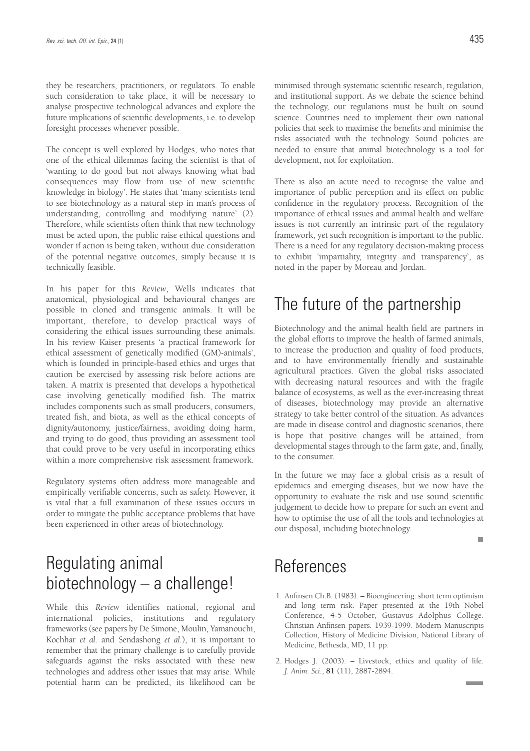they be researchers, practitioners, or regulators. To enable such consideration to take place, it will be necessary to analyse prospective technological advances and explore the future implications of scientific developments, i.e. to develop foresight processes whenever possible.

The concept is well explored by Hodges, who notes that one of the ethical dilemmas facing the scientist is that of 'wanting to do good but not always knowing what bad consequences may flow from use of new scientific knowledge in biology'. He states that 'many scientists tend to see biotechnology as a natural step in man's process of understanding, controlling and modifying nature' (2). Therefore, while scientists often think that new technology must be acted upon, the public raise ethical questions and wonder if action is being taken, without due consideration of the potential negative outcomes, simply because it is technically feasible.

In his paper for this *Review*, Wells indicates that anatomical, physiological and behavioural changes are possible in cloned and transgenic animals. It will be important, therefore, to develop practical ways of considering the ethical issues surrounding these animals. In his review Kaiser presents 'a practical framework for ethical assessment of genetically modified (GM)-animals', which is founded in principle-based ethics and urges that caution be exercised by assessing risk before actions are taken. A matrix is presented that develops a hypothetical case involving genetically modified fish. The matrix includes components such as small producers, consumers, treated fish, and biota, as well as the ethical concepts of dignity/autonomy, justice/fairness, avoiding doing harm, and trying to do good, thus providing an assessment tool that could prove to be very useful in incorporating ethics within a more comprehensive risk assessment framework.

Regulatory systems often address more manageable and empirically verifiable concerns, such as safety. However, it is vital that a full examination of these issues occurs in order to mitigate the public acceptance problems that have been experienced in other areas of biotechnology.

# Regulating animal biotechnology – a challenge!

While this *Review* identifies national, regional and international policies, institutions and regulatory frameworks (see papers by De Simone, Moulin, Yamanouchi, Kochhar *et al.* and Sendashong *et al.*), it is important to remember that the primary challenge is to carefully provide safeguards against the risks associated with these new technologies and address other issues that may arise. While potential harm can be predicted, its likelihood can be minimised through systematic scientific research, regulation, and institutional support. As we debate the science behind the technology, our regulations must be built on sound science. Countries need to implement their own national policies that seek to maximise the benefits and minimise the risks associated with the technology. Sound policies are needed to ensure that animal biotechnology is a tool for development, not for exploitation.

There is also an acute need to recognise the value and importance of public perception and its effect on public confidence in the regulatory process. Recognition of the importance of ethical issues and animal health and welfare issues is not currently an intrinsic part of the regulatory framework, yet such recognition is important to the public. There is a need for any regulatory decision-making process to exhibit 'impartiality, integrity and transparency', as noted in the paper by Moreau and Jordan.

#### The future of the partnership

Biotechnology and the animal health field are partners in the global efforts to improve the health of farmed animals, to increase the production and quality of food products, and to have environmentally friendly and sustainable agricultural practices. Given the global risks associated with decreasing natural resources and with the fragile balance of ecosystems, as well as the ever-increasing threat of diseases, biotechnology may provide an alternative strategy to take better control of the situation. As advances are made in disease control and diagnostic scenarios, there is hope that positive changes will be attained, from developmental stages through to the farm gate, and, finally, to the consumer.

In the future we may face a global crisis as a result of epidemics and emerging diseases, but we now have the opportunity to evaluate the risk and use sound scientific judgement to decide how to prepare for such an event and how to optimise the use of all the tools and technologies at our disposal, including biotechnology.

ш

#### **References**

- 1. Anfinsen Ch.B. (1983). Bioengineering: short term optimism and long term risk. Paper presented at the 19th Nobel Conference, 4-5 October, Gustavus Adolphus College. Christian Anfinsen papers. 1939-1999. Modern Manuscripts Collection, History of Medicine Division, National Library of Medicine, Bethesda, MD, 11 pp.
- 2. Hodges J. (2003). Livestock, ethics and quality of life. *J. Anim. Sci.*, **81** (11), 2887-2894.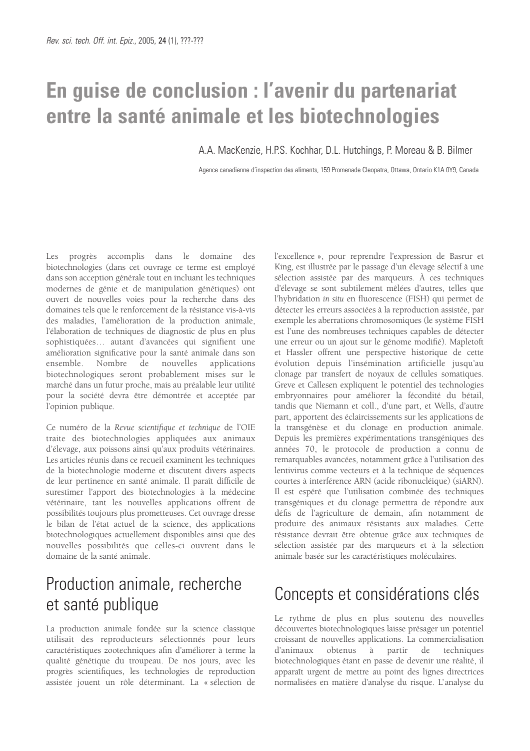# **En guise de conclusion : l'avenir du partenariat entre la santé animale et les biotechnologies**

A.A. MacKenzie, H.P.S. Kochhar, D.L. Hutchings, P. Moreau & B. Bilmer

Agence canadienne d'inspection des aliments, 159 Promenade Cleopatra, Ottawa, Ontario K1A 0Y9, Canada

Les progrès accomplis dans le domaine des biotechnologies (dans cet ouvrage ce terme est employé dans son acception générale tout en incluant les techniques modernes de génie et de manipulation génétiques) ont ouvert de nouvelles voies pour la recherche dans des domaines tels que le renforcement de la résistance vis-à-vis des maladies, l'amélioration de la production animale, l'élaboration de techniques de diagnostic de plus en plus sophistiquées… autant d'avancées qui signifient une amélioration significative pour la santé animale dans son ensemble. Nombre de nouvelles applications biotechnologiques seront probablement mises sur le marché dans un futur proche, mais au préalable leur utilité pour la société devra être démontrée et acceptée par l'opinion publique.

Ce numéro de la *Revue scientifique et technique* de l'OIE traite des biotechnologies appliquées aux animaux d'élevage, aux poissons ainsi qu'aux produits vétérinaires. Les articles réunis dans ce recueil examinent les techniques de la biotechnologie moderne et discutent divers aspects de leur pertinence en santé animale. Il paraît difficile de surestimer l'apport des biotechnologies à la médecine vétérinaire, tant les nouvelles applications offrent de possibilités toujours plus prometteuses. Cet ouvrage dresse le bilan de l'état actuel de la science, des applications biotechnologiques actuellement disponibles ainsi que des nouvelles possibilités que celles-ci ouvrent dans le domaine de la santé animale.

# Production animale, recherche et santé publique

La production animale fondée sur la science classique utilisait des reproducteurs sélectionnés pour leurs caractéristiques zootechniques afin d'améliorer à terme la qualité génétique du troupeau. De nos jours, avec les progrès scientifiques, les technologies de reproduction assistée jouent un rôle déterminant. La « sélection de l'excellence », pour reprendre l'expression de Basrur et King, est illustrée par le passage d'un élevage sélectif à une sélection assistée par des marqueurs. À ces techniques d'élevage se sont subtilement mêlées d'autres, telles que l'hybridation *in situ* en fluorescence (FISH) qui permet de détecter les erreurs associées à la reproduction assistée, par exemple les aberrations chromosomiques (le système FISH est l'une des nombreuses techniques capables de détecter une erreur ou un ajout sur le génome modifié). Mapletoft et Hassler offrent une perspective historique de cette évolution depuis l'insémination artificielle jusqu'au clonage par transfert de noyaux de cellules somatiques. Greve et Callesen expliquent le potentiel des technologies embryonnaires pour améliorer la fécondité du bétail, tandis que Niemann et coll., d'une part, et Wells, d'autre part, apportent des éclaircissements sur les applications de la transgénèse et du clonage en production animale. Depuis les premières expérimentations transgéniques des années 70, le protocole de production a connu de remarquables avancées, notamment grâce à l'utilisation des lentivirus comme vecteurs et à la technique de séquences courtes à interférence ARN (acide ribonucléique) (siARN). Il est espéré que l'utilisation combinée des techniques transgéniques et du clonage permettra de répondre aux défis de l'agriculture de demain, afin notamment de produire des animaux résistants aux maladies. Cette résistance devrait être obtenue grâce aux techniques de sélection assistée par des marqueurs et à la sélection animale basée sur les caractéristiques moléculaires.

# Concepts et considérations clés

Le rythme de plus en plus soutenu des nouvelles découvertes biotechnologiques laisse présager un potentiel croissant de nouvelles applications. La commercialisation d'animaux obtenus à partir de techniques biotechnologiques étant en passe de devenir une réalité, il apparaît urgent de mettre au point des lignes directrices normalisées en matière d'analyse du risque. L'analyse du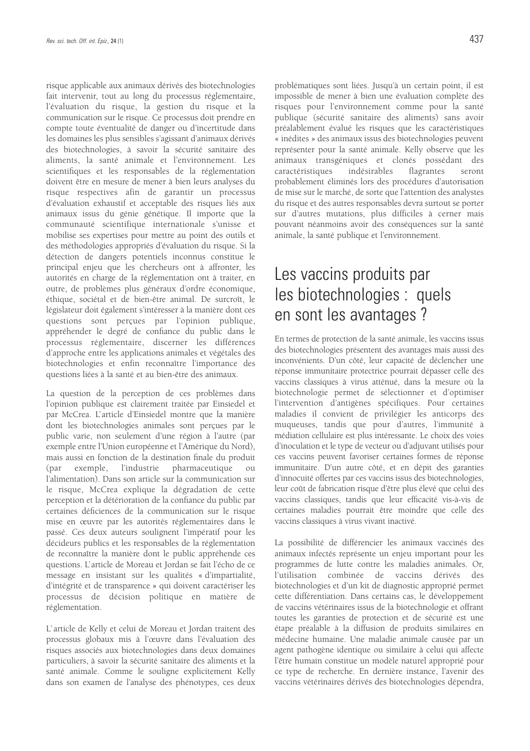risque applicable aux animaux dérivés des biotechnologies fait intervenir, tout au long du processus réglementaire, l'évaluation du risque, la gestion du risque et la communication sur le risque. Ce processus doit prendre en compte toute éventualité de danger ou d'incertitude dans les domaines les plus sensibles s'agissant d'animaux dérivés des biotechnologies, à savoir la sécurité sanitaire des aliments, la santé animale et l'environnement. Les scientifiques et les responsables de la réglementation doivent être en mesure de mener à bien leurs analyses du risque respectives afin de garantir un processus d'évaluation exhaustif et acceptable des risques liés aux animaux issus du génie génétique. Il importe que la communauté scientifique internationale s'unisse et mobilise ses expertises pour mettre au point des outils et des méthodologies appropriés d'évaluation du risque. Si la détection de dangers potentiels inconnus constitue le principal enjeu que les chercheurs ont à affronter, les autorités en charge de la réglementation ont à traiter, en outre, de problèmes plus généraux d'ordre économique, éthique, sociétal et de bien-être animal. De surcroît, le législateur doit également s'intéresser à la manière dont ces questions sont perçues par l'opinion publique, appréhender le degré de confiance du public dans le processus réglementaire, discerner les différences d'approche entre les applications animales et végétales des biotechnologies et enfin reconnaître l'importance des questions liées à la santé et au bien-être des animaux.

La question de la perception de ces problèmes dans l'opinion publique est clairement traitée par Einsiedel et par McCrea. L'article d'Einsiedel montre que la manière dont les biotechnologies animales sont perçues par le public varie, non seulement d'une région à l'autre (par exemple entre l'Union européenne et l'Amérique du Nord), mais aussi en fonction de la destination finale du produit (par exemple, l'industrie pharmaceutique ou l'alimentation). Dans son article sur la communication sur le risque, McCrea explique la dégradation de cette perception et la détérioration de la confiance du public par certaines déficiences de la communication sur le risque mise en œuvre par les autorités réglementaires dans le passé. Ces deux auteurs soulignent l'impératif pour les décideurs publics et les responsables de la réglementation de reconnaître la manière dont le public appréhende ces questions. L'article de Moreau et Jordan se fait l'écho de ce message en insistant sur les qualités « d'impartialité, d'intégrité et de transparence » qui doivent caractériser les processus de décision politique en matière de réglementation.

L' article de Kelly et celui de Moreau et Jordan traitent des processus globaux mis à l'œuvre dans l'évaluation des risques associés aux biotechnologies dans deux domaines particuliers, à savoir la sécurité sanitaire des aliments et la santé animale. Comme le souligne explicitement Kelly dans son examen de l'analyse des phénotypes, ces deux

problématiques sont liées. Jusqu'à un certain point, il est impossible de mener à bien une évaluation complète des risques pour l'environnement comme pour la santé publique (sécurité sanitaire des aliments) sans avoir préalablement évalué les risques que les caractéristiques « inédites » des animaux issus des biotechnologies peuvent représenter pour la santé animale. Kelly observe que les animaux transgéniques et clonés possédant des caractéristiques indésirables flagrantes seront probablement éliminés lors des procédures d'autorisation de mise sur le marché, de sorte que l'attention des analystes du risque et des autres responsables devra surtout se porter sur d'autres mutations, plus difficiles à cerner mais pouvant néanmoins avoir des conséquences sur la santé animale, la santé publique et l'environnement.

### Les vaccins produits par les biotechnologies : quels en sont les avantages ?

En termes de protection de la santé animale, les vaccins issus des biotechnologies présentent des avantages mais aussi des inconvénients. D'un côté, leur capacité de déclencher une réponse immunitaire protectrice pourrait dépasser celle des vaccins classiques à virus atténué, dans la mesure où la biotechnologie permet de sélectionner et d'optimiser l'intervention d'antigènes spécifiques. Pour certaines maladies il convient de privilégier les anticorps des muqueuses, tandis que pour d'autres, l'immunité à médiation cellulaire est plus intéressante. Le choix des voies d'inoculation et le type de vecteur ou d'adjuvant utilisés pour ces vaccins peuvent favoriser certaines formes de réponse immunitaire. D'un autre côté, et en dépit des garanties d'innocuité offertes par ces vaccins issus des biotechnologies, leur coût de fabrication risque d'être plus élevé que celui des vaccins classiques, tandis que leur efficacité vis-à-vis de certaines maladies pourrait être moindre que celle des vaccins classiques à virus vivant inactivé.

La possibilité de différencier les animaux vaccinés des animaux infectés représente un enjeu important pour les programmes de lutte contre les maladies animales. Or, l'utilisation combinée de vaccins dérivés des biotechnologies et d'un kit de diagnostic approprié permet cette différentiation. Dans certains cas, le développement de vaccins vétérinaires issus de la biotechnologie et offrant toutes les garanties de protection et de sécurité est une étape préalable à la diffusion de produits similaires en médecine humaine. Une maladie animale causée par un agent pathogène identique ou similaire à celui qui affecte l'être humain constitue un modèle naturel approprié pour ce type de recherche. En dernière instance, l'avenir des vaccins vétérinaires dérivés des biotechnologies dépendra,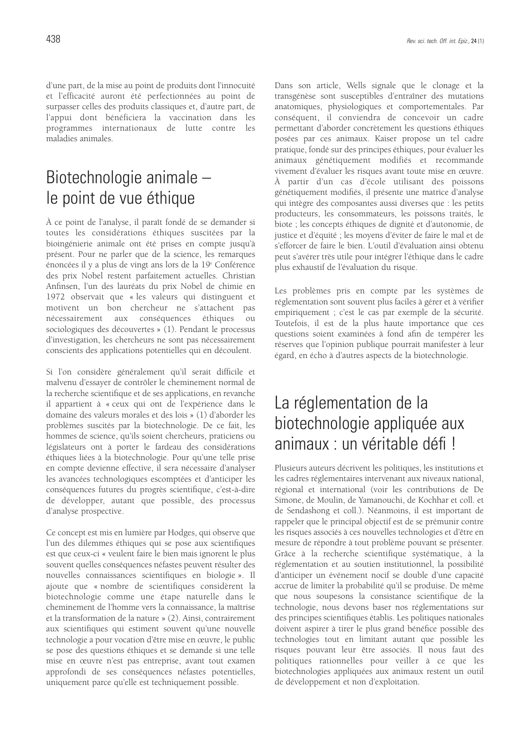d'une part, de la mise au point de produits dont l'innocuité et l'efficacité auront été perfectionnées au point de surpasser celles des produits classiques et, d'autre part, de l'appui dont bénéficiera la vaccination dans les programmes internationaux de lutte contre les maladies animales.

### Biotechnologie animale – le point de vue éthique

À ce point de l'analyse, il paraît fondé de se demander si toutes les considérations éthiques suscitées par la bioingénierie animale ont été prises en compte jusqu'à présent. Pour ne parler que de la science, les remarques énoncées il y a plus de vingt ans lors de la 19e Conférence des prix Nobel restent parfaitement actuelles. Christian Anfinsen, l'un des lauréats du prix Nobel de chimie en 1972 observait que « les valeurs qui distinguent et motivent un bon chercheur ne s'attachent pas nécessairement aux conséquences éthiques ou sociologiques des découvertes » (1). Pendant le processus d'investigation, les chercheurs ne sont pas nécessairement conscients des applications potentielles qui en découlent.

Si l'on considère généralement qu'il serait difficile et malvenu d'essayer de contrôler le cheminement normal de la recherche scientifique et de ses applications, en revanche il appartient à « ceux qui ont de l'expérience dans le domaine des valeurs morales et des lois » (1) d'aborder les problèmes suscités par la biotechnologie. De ce fait, les hommes de science, qu'ils soient chercheurs, praticiens ou législateurs ont à porter le fardeau des considérations éthiques liées à la biotechnologie. Pour qu'une telle prise en compte devienne effective, il sera nécessaire d'analyser les avancées technologiques escomptées et d'anticiper les conséquences futures du progrès scientifique, c'est-à-dire de développer, autant que possible, des processus d'analyse prospective.

Ce concept est mis en lumière par Hodges, qui observe que l'un des dilemmes éthiques qui se pose aux scientifiques est que ceux-ci « veulent faire le bien mais ignorent le plus souvent quelles conséquences néfastes peuvent résulter des nouvelles connaissances scientifiques en biologie ». Il ajoute que « nombre de scientifiques considèrent la biotechnologie comme une étape naturelle dans le cheminement de l'homme vers la connaissance, la maîtrise et la transformation de la nature » (2). Ainsi, contrairement aux scientifiques qui estiment souvent qu'une nouvelle technologie a pour vocation d'être mise en œuvre, le public se pose des questions éthiques et se demande si une telle mise en œuvre n'est pas entreprise, avant tout examen approfondi de ses conséquences néfastes potentielles, uniquement parce qu'elle est techniquement possible.

Dans son article, Wells signale que le clonage et la transgénèse sont susceptibles d'entraîner des mutations anatomiques, physiologiques et comportementales. Par conséquent, il conviendra de concevoir un cadre permettant d'aborder concrètement les questions éthiques posées par ces animaux. Kaiser propose un tel cadre pratique, fondé sur des principes éthiques, pour évaluer les animaux génétiquement modifiés et recommande vivement d'évaluer les risques avant toute mise en œuvre. À partir d'un cas d'école utilisant des poissons génétiquement modifiés, il présente une matrice d'analyse qui intègre des composantes aussi diverses que : les petits producteurs, les consommateurs, les poissons traités, le biote ; les concepts éthiques de dignité et d'autonomie, de justice et d'équité ; les moyens d'éviter de faire le mal et de s'efforcer de faire le bien. L'outil d'évaluation ainsi obtenu peut s'avérer très utile pour intégrer l'éthique dans le cadre plus exhaustif de l'évaluation du risque.

Les problèmes pris en compte par les systèmes de réglementation sont souvent plus faciles à gérer et à vérifier empiriquement ; c'est le cas par exemple de la sécurité. Toutefois, il est de la plus haute importance que ces questions soient examinées à fond afin de tempérer les réserves que l'opinion publique pourrait manifester à leur égard, en écho à d'autres aspects de la biotechnologie.

# La réglementation de la biotechnologie appliquée aux animaux : un véritable défi !

Plusieurs auteurs décrivent les politiques, les institutions et les cadres réglementaires intervenant aux niveaux national, régional et international (voir les contributions de De Simone, de Moulin, de Yamanouchi, de Kochhar et coll. et de Sendashong et coll.). Néanmoins, il est important de rappeler que le principal objectif est de se prémunir contre les risques associés à ces nouvelles technologies et d'être en mesure de répondre à tout problème pouvant se présenter. Grâce à la recherche scientifique systématique, à la réglementation et au soutien institutionnel, la possibilité d'anticiper un événement nocif se double d'une capacité accrue de limiter la probabilité qu'il se produise. De même que nous soupesons la consistance scientifique de la technologie, nous devons baser nos réglementations sur des principes scientifiques établis. Les politiques nationales doivent aspirer à tirer le plus grand bénéfice possible des technologies tout en limitant autant que possible les risques pouvant leur être associés. Il nous faut des politiques rationnelles pour veiller à ce que les biotechnologies appliquées aux animaux restent un outil de développement et non d'exploitation.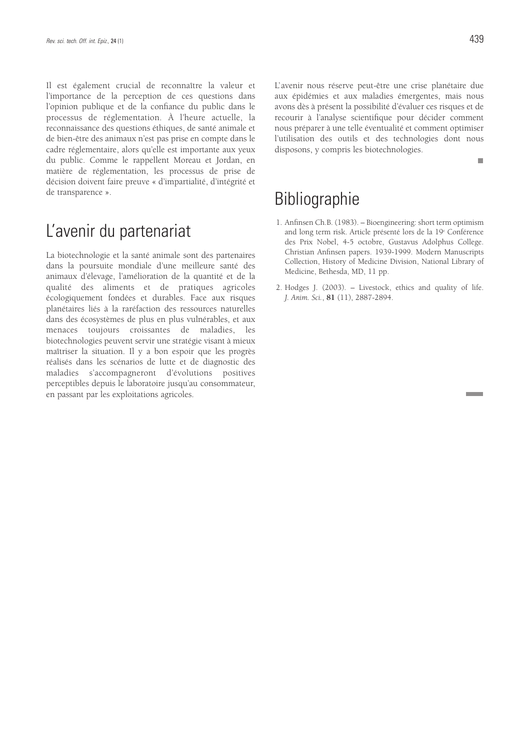Il est également crucial de reconnaître la valeur et l'importance de la perception de ces questions dans l'opinion publique et de la confiance du public dans le processus de réglementation. À l'heure actuelle, la reconnaissance des questions éthiques, de santé animale et de bien-être des animaux n'est pas prise en compte dans le cadre réglementaire, alors qu'elle est importante aux yeux du public. Comme le rappellent Moreau et Jordan, en matière de réglementation, les processus de prise de décision doivent faire preuve « d'impartialité, d'intégrité et de transparence ».

#### L'avenir du partenariat

La biotechnologie et la santé animale sont des partenaires dans la poursuite mondiale d'une meilleure santé des animaux d'élevage, l'amélioration de la quantité et de la qualité des aliments et de pratiques agricoles écologiquement fondées et durables. Face aux risques planétaires liés à la raréfaction des ressources naturelles dans des écosystèmes de plus en plus vulnérables, et aux menaces toujours croissantes de maladies, les biotechnologies peuvent servir une stratégie visant à mieux maîtriser la situation. Il y a bon espoir que les progrès réalisés dans les scénarios de lutte et de diagnostic des maladies s'accompagneront d'évolutions positives perceptibles depuis le laboratoire jusqu'au consommateur, en passant par les exploitations agricoles.

L'avenir nous réserve peut-être une crise planétaire due aux épidémies et aux maladies émergentes, mais nous avons dès à présent la possibilité d'évaluer ces risques et de recourir à l'analyse scientifique pour décider comment nous préparer à une telle éventualité et comment optimiser l'utilisation des outils et des technologies dont nous disposons, y compris les biotechnologies.

m.

#### **Bibliographie**

- 1. Anfinsen Ch.B. (1983). Bioengineering: short term optimism and long term risk. Article présenté lors de la 19<sup>e</sup> Conférence des Prix Nobel, 4-5 octobre, Gustavus Adolphus College. Christian Anfinsen papers. 1939-1999. Modern Manuscripts Collection, History of Medicine Division, National Library of Medicine, Bethesda, MD, 11 pp.
- 2. Hodges J. (2003). Livestock, ethics and quality of life. *J. Anim. Sci.*, **81** (11), 2887-2894.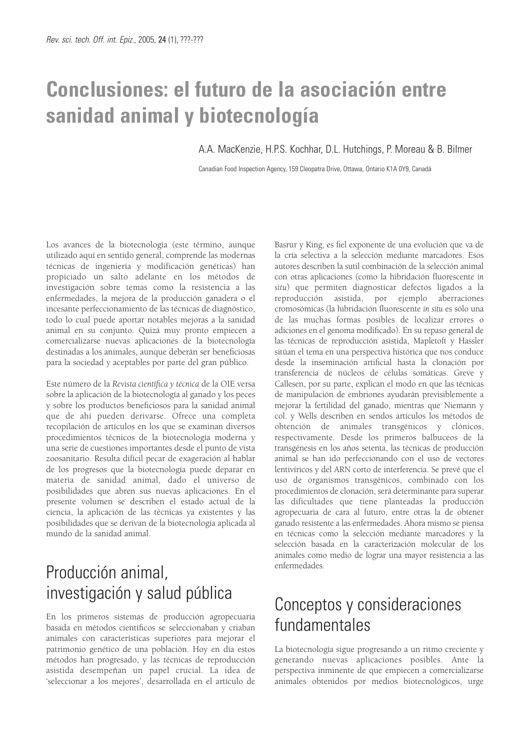# **Conclusiones: el futuro de la asociación entre sanidad animal y biotecnología**

A.A. MacKenzie, H.P.S. Kochhar, D.L. Hutchings, P. Moreau & B. Bilmer

Canadian Food Inspection Agency, 159 Cleopatra Drive, Ottawa, Ontario K1A 0Y9, Canadá

Los avances de la biotecnología (este término, aunque utilizado aquí en sentido general, comprende las modernas técnicas de ingeniería y modificación genéticas) han propiciado un salto adelante en los métodos de investigación sobre temas como la resistencia a las enfermedades, la mejora de la producción ganadera o el incesante perfeccionamiento de las técnicas de diagnóstico, todo lo cual puede aportar notables mejoras a la sanidad animal en su conjunto. Quizá muy pronto empiecen a comercializarse nuevas aplicaciones de la biotecnología destinadas a los animales, aunque deberán ser beneficiosas para la sociedad y aceptables por parte del gran público.

Este número de la *Revista científica y técnica* de la OIE versa sobre la aplicación de la biotecnología al ganado y los peces y sobre los productos beneficiosos para la sanidad animal que de ahí pueden derivarse. Ofrece una completa recopilación de artículos en los que se examinan diversos procedimientos técnicos de la biotecnología moderna y una serie de cuestiones importantes desde el punto de vista zoosanitario. Resulta difícil pecar de exageración al hablar de los progresos que la biotecnología puede deparar en materia de sanidad animal, dado el universo de posibilidades que abren sus nuevas aplicaciones. En el presente volumen se describen el estado actual de la ciencia, la aplicación de las técnicas ya existentes y las posibilidades que se derivan de la biotecnología aplicada al mundo de la sanidad animal.

# Producción animal, investigación y salud pública

En los primeros sistemas de producción agropecuaria basada en métodos científicos se seleccionaban y criaban animales con características superiores para mejorar el patrimonio genético de una población. Hoy en día estos métodos han progresado, y las técnicas de reproducción asistida desempeñan un papel crucial. La idea de 'seleccionar a los mejores', desarrollada en el artículo de

Basrur y King, es fiel exponente de una evolución que va de la cría selectiva a la selección mediante marcadores. Esos autores describen la sutil combinación de la selección animal con otras aplicaciones (como la hibridación fluorescente *in situ*) que permiten diagnosticar defectos ligados a la reproducción asistida, por ejemplo aberraciones cromosómicas (la hibridación fluorescente *in situ* es sólo una de las muchas formas posibles de localizar errores o adiciones en el genoma modificado). En su repaso general de las técnicas de reproducción asistida, Mapletoft y Hassler sitúan el tema en una perspectiva histórica que nos conduce desde la inseminación artificial hasta la clonación por transferencia de núcleos de células somáticas. Greve y Callesen, por su parte, explican el modo en que las técnicas de manipulación de embriones ayudarán previsiblemente a mejorar la fertilidad del ganado, mientras que Niemann y col. y Wells describen en sendos artículos los métodos de obtención de animales transgénicos y clónicos, respectivamente. Desde los primeros balbuceos de la transgénesis en los años setenta, las técnicas de producción animal se han ido perfeccionando con el uso de vectores lentivíricos y del ARN corto de interferencia. Se prevé que el uso de organismos transgénicos, combinado con los procedimientos de clonación, será determinante para superar las dificultades que tiene planteadas la producción agropecuaria de cara al futuro, entre otras la de obtener ganado resistente a las enfermedades. Ahora mismo se piensa en técnicas como la selección mediante marcadores y la selección basada en la caracterización molecular de los animales como medio de lograr una mayor resistencia a las enfermedades.

### Conceptos y consideraciones fundamentales

La biotecnología sigue progresando a un ritmo creciente y generando nuevas aplicaciones posibles. Ante la perspectiva inminente de que empiecen a comercializarse animales obtenidos por medios biotecnológicos, urge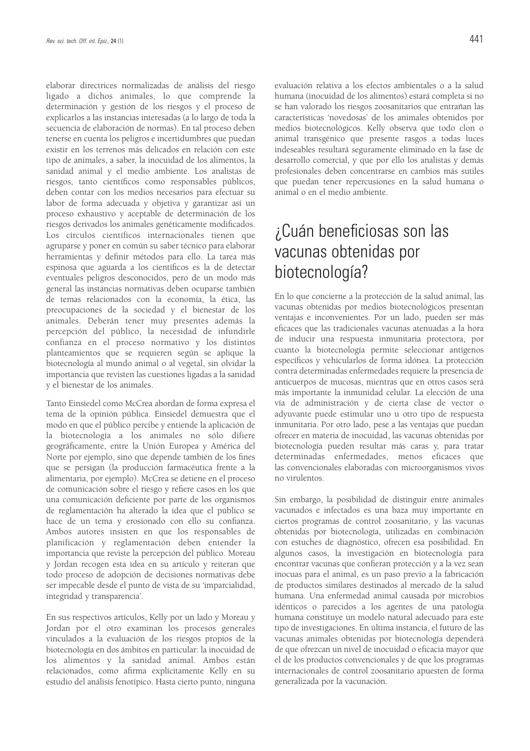elaborar directrices normalizadas de análisis del riesgo ligado a dichos animales, lo que comprende la determinación y gestión de los riesgos y el proceso de explicarlos a las instancias interesadas (a lo largo de toda la secuencia de elaboración de normas). En tal proceso deben tenerse en cuenta los peligros e incertidumbres que puedan existir en los terrenos más delicados en relación con este tipo de animales, a saber, la inocuidad de los alimentos, la sanidad animal y el medio ambiente. Los analistas de riesgos, tanto científicos como responsables públicos, deben contar con los medios necesarios para efectuar su labor de forma adecuada y objetiva y garantizar así un proceso exhaustivo y aceptable de determinación de los riesgos derivados los animales genéticamente modificados. Los círculos científicos internacionales tienen que agruparse y poner en común su saber técnico para elaborar herramientas y definir métodos para ello. La tarea más espinosa que aguarda a los científicos es la de detectar eventuales peligros desconocidos, pero de un modo más general las instancias normativas deben ocuparse también de temas relacionados con la economía, la ética, las preocupaciones de la sociedad y el bienestar de los animales. Deberán tener muy presentes además la percepción del público, la necesidad de infundirle confianza en el proceso normativo y los distintos planteamientos que se requieren según se aplique la biotecnología al mundo animal o al vegetal, sin olvidar la importancia que revisten las cuestiones ligadas a la sanidad y el bienestar de los animales.

Tanto Einsiedel como McCrea abordan de forma expresa el tema de la opinión pública. Einsiedel demuestra que el modo en que el público percibe y entiende la aplicación de la biotecnología a los animales no sólo difiere geográficamente, entre la Unión Europea y América del Norte por ejemplo, sino que depende también de los fines que se persigan (la producción farmacéutica frente a la alimentaria, por ejemplo). McCrea se detiene en el proceso de comunicación sobre el riesgo y refiere casos en los que una comunicación deficiente por parte de los organismos de reglamentación ha alterado la idea que el público se hace de un tema y erosionado con ello su confianza. Ambos autores insisten en que los responsables de planificación y reglamentación deben entender la importancia que reviste la percepción del público. Moreau y Jordan recogen esta idea en su artículo y reiteran que todo proceso de adopción de decisiones normativas debe ser impecable desde el punto de vista de su 'imparcialidad, integridad y transparencia'.

En sus respectivos artículos, Kelly por un lado y Moreau y Jordan por el otro examinan los procesos generales vinculados a la evaluación de los riesgos propios de la biotecnología en dos ámbitos en particular: la inocuidad de los alimentos y la sanidad animal. Ambos están relacionados, como afirma explícitamente Kelly en su estudio del análisis fenotípico. Hasta cierto punto, ninguna evaluación relativa a los efectos ambientales o a la salud humana (inocuidad de los alimentos) estará completa si no se han valorado los riesgos zoosanitarios que entrañan las características 'novedosas' de los animales obtenidos por medios biotecnológicos. Kelly observa que todo clon o animal transgénico que presente rasgos a todas luces indeseables resultará seguramente eliminado en la fase de desarrollo comercial, y que por ello los analistas y demás profesionales deben concentrarse en cambios más sutiles que puedan tener repercusiones en la salud humana o animal o en el medio ambiente.

### ¿Cuán beneficiosas son las vacunas obtenidas por biotecnología?

En lo que concierne a la protección de la salud animal, las vacunas obtenidas por medios biotecnológicos presentan ventajas e inconvenientes. Por un lado, pueden ser más eficaces que las tradicionales vacunas atenuadas a la hora de inducir una respuesta inmunitaria protectora, por cuanto la biotecnología permite seleccionar antígenos específicos y vehicularlos de forma idónea. La protección contra determinadas enfermedades requiere la presencia de anticuerpos de mucosas, mientras que en otros casos será más importante la inmunidad celular. La elección de una vía de administración y de cierta clase de vector o adyuvante puede estimular uno u otro tipo de respuesta inmunitaria. Por otro lado, pese a las ventajas que puedan ofrecer en materia de inocuidad, las vacunas obtenidas por biotecnología pueden resultar más caras y, para tratar determinadas enfermedades, menos eficaces que las convencionales elaboradas con microorganismos vivos no virulentos.

Sin embargo, la posibilidad de distinguir entre animales vacunados e infectados es una baza muy importante en ciertos programas de control zoosanitario, y las vacunas obtenidas por biotecnología, utilizadas en combinación con estuches de diagnóstico, ofrecen esa posibilidad. En algunos casos, la investigación en biotecnología para encontrar vacunas que confieran protección y a la vez sean inocuas para el animal, es un paso previo a la fabricación de productos similares destinados al mercado de la salud humana. Una enfermedad animal causada por microbios idénticos o parecidos a los agentes de una patología humana constituye un modelo natural adecuado para este tipo de investigaciones. En última instancia, el futuro de las vacunas animales obtenidas por biotecnología dependerá de que ofrezcan un nivel de inocuidad o eficacia mayor que el de los productos convencionales y de que los programas internacionales de control zoosanitario apuesten de forma generalizada por la vacunación.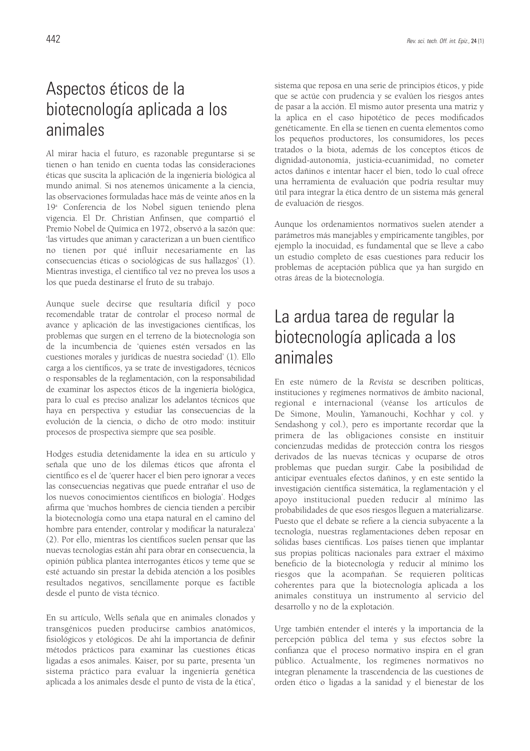### Aspectos éticos de la biotecnología aplicada a los animales

Al mirar hacia el futuro, es razonable preguntarse si se tienen o han tenido en cuenta todas las consideraciones éticas que suscita la aplicación de la ingeniería biológica al mundo animal. Si nos atenemos únicamente a la ciencia, las observaciones formuladas hace más de veinte años en la 19a Conferencia de los Nobel siguen teniendo plena vigencia. El Dr. Christian Anfinsen, que compartió el Premio Nobel de Química en 1972, observó a la sazón que: 'las virtudes que animan y caracterizan a un buen científico no tienen por qué influir necesariamente en las consecuencias éticas o sociológicas de sus hallazgos' (1). Mientras investiga, el científico tal vez no prevea los usos a los que pueda destinarse el fruto de su trabajo.

Aunque suele decirse que resultaría difícil y poco recomendable tratar de controlar el proceso normal de avance y aplicación de las investigaciones científicas, los problemas que surgen en el terreno de la biotecnología son de la incumbencia de 'quienes estén versados en las cuestiones morales y jurídicas de nuestra sociedad' (1). Ello carga a los científicos, ya se trate de investigadores, técnicos o responsables de la reglamentación, con la responsabilidad de examinar los aspectos éticos de la ingeniería biológica, para lo cual es preciso analizar los adelantos técnicos que haya en perspectiva y estudiar las consecuencias de la evolución de la ciencia, o dicho de otro modo: instituir procesos de prospectiva siempre que sea posible.

Hodges estudia detenidamente la idea en su artículo y señala que uno de los dilemas éticos que afronta el científico es el de 'querer hacer el bien pero ignorar a veces las consecuencias negativas que puede entrañar el uso de los nuevos conocimientos científicos en biología'. Hodges afirma que 'muchos hombres de ciencia tienden a percibir la biotecnología como una etapa natural en el camino del hombre para entender, controlar y modificar la naturaleza' (2). Por ello, mientras los científicos suelen pensar que las nuevas tecnologías están ahí para obrar en consecuencia, la opinión pública plantea interrogantes éticos y teme que se esté actuando sin prestar la debida atención a los posibles resultados negativos, sencillamente porque es factible desde el punto de vista técnico.

En su artículo, Wells señala que en animales clonados y transgénicos pueden producirse cambios anatómicos, fisiológicos y etológicos. De ahí la importancia de definir métodos prácticos para examinar las cuestiones éticas ligadas a esos animales. Kaiser, por su parte, presenta 'un sistema práctico para evaluar la ingeniería genética aplicada a los animales desde el punto de vista de la ética', sistema que reposa en una serie de principios éticos, y pide que se actúe con prudencia y se evalúen los riesgos antes de pasar a la acción. El mismo autor presenta una matriz y la aplica en el caso hipotético de peces modificados genéticamente. En ella se tienen en cuenta elementos como los pequeños productores, los consumidores, los peces tratados o la biota, además de los conceptos éticos de dignidad-autonomía, justicia-ecuanimidad, no cometer actos dañinos e intentar hacer el bien, todo lo cual ofrece una herramienta de evaluación que podría resultar muy útil para integrar la ética dentro de un sistema más general de evaluación de riesgos.

Aunque los ordenamientos normativos suelen atender a parámetros más manejables y empíricamente tangibles, por ejemplo la inocuidad, es fundamental que se lleve a cabo un estudio completo de esas cuestiones para reducir los problemas de aceptación pública que ya han surgido en otras áreas de la biotecnología.

#### La ardua tarea de regular la biotecnología aplicada a los animales

En este número de la *Revista* se describen políticas, instituciones y regímenes normativos de ámbito nacional, regional e internacional (véanse los artículos de De Simone, Moulin, Yamanouchi, Kochhar y col. y Sendashong y col.), pero es importante recordar que la primera de las obligaciones consiste en instituir concienzudas medidas de protección contra los riesgos derivados de las nuevas técnicas y ocuparse de otros problemas que puedan surgir. Cabe la posibilidad de anticipar eventuales efectos dañinos, y en este sentido la investigación científica sistemática, la reglamentación y el apoyo institucional pueden reducir al mínimo las probabilidades de que esos riesgos lleguen a materializarse. Puesto que el debate se refiere a la ciencia subyacente a la tecnología, nuestras reglamentaciones deben reposar en sólidas bases científicas. Los países tienen que implantar sus propias políticas nacionales para extraer el máximo beneficio de la biotecnología y reducir al mínimo los riesgos que la acompañan. Se requieren políticas coherentes para que la biotecnología aplicada a los animales constituya un instrumento al servicio del desarrollo y no de la explotación.

Urge también entender el interés y la importancia de la percepción pública del tema y sus efectos sobre la confianza que el proceso normativo inspira en el gran público. Actualmente, los regímenes normativos no integran plenamente la trascendencia de las cuestiones de orden ético o ligadas a la sanidad y el bienestar de los